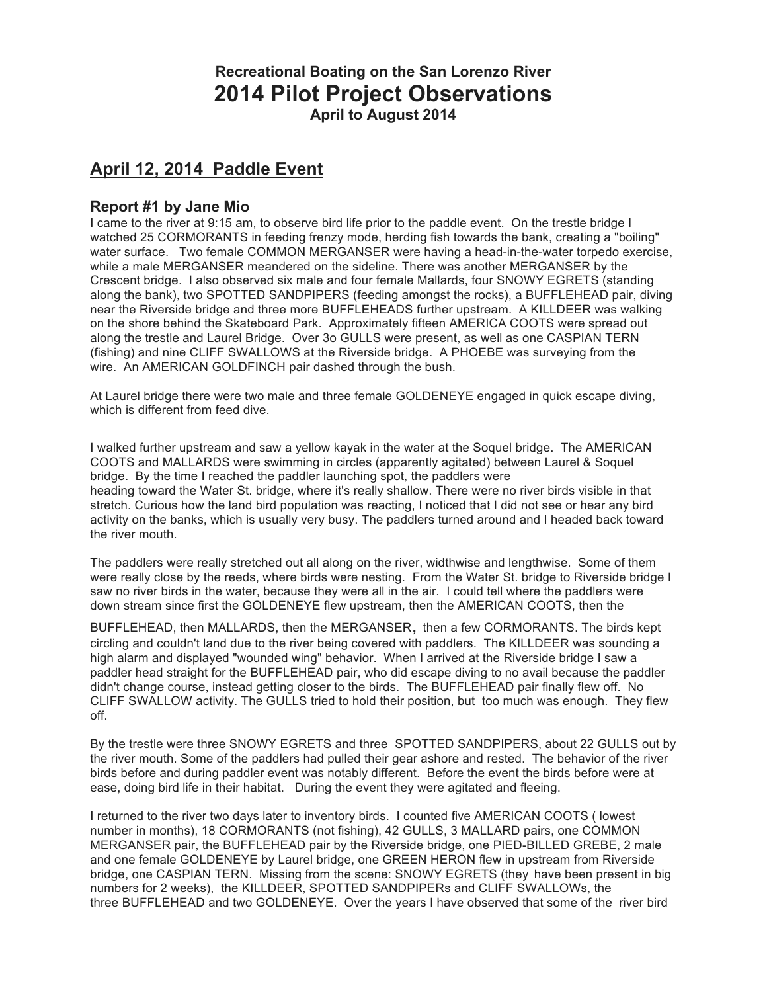# **Recreational Boating on the San Lorenzo River 2014 Pilot Project Observations April to August 2014**

# **April 12, 2014 Paddle Event**

# **Report #1 by Jane Mio**

I came to the river at 9:15 am, to observe bird life prior to the paddle event. On the trestle bridge I watched 25 CORMORANTS in feeding frenzy mode, herding fish towards the bank, creating a "boiling" water surface. Two female COMMON MERGANSER were having a head-in-the-water torpedo exercise, while a male MERGANSER meandered on the sideline. There was another MERGANSER by the Crescent bridge. I also observed six male and four female Mallards, four SNOWY EGRETS (standing along the bank), two SPOTTED SANDPIPERS (feeding amongst the rocks), a BUFFLEHEAD pair, diving near the Riverside bridge and three more BUFFLEHEADS further upstream. A KILLDEER was walking on the shore behind the Skateboard Park. Approximately fifteen AMERICA COOTS were spread out along the trestle and Laurel Bridge. Over 3o GULLS were present, as well as one CASPIAN TERN (fishing) and nine CLIFF SWALLOWS at the Riverside bridge. A PHOEBE was surveying from the wire. An AMERICAN GOLDFINCH pair dashed through the bush.

At Laurel bridge there were two male and three female GOLDENEYE engaged in quick escape diving, which is different from feed dive.

I walked further upstream and saw a yellow kayak in the water at the Soquel bridge. The AMERICAN COOTS and MALLARDS were swimming in circles (apparently agitated) between Laurel & Soquel bridge. By the time I reached the paddler launching spot, the paddlers were heading toward the Water St. bridge, where it's really shallow. There were no river birds visible in that stretch. Curious how the land bird population was reacting, I noticed that I did not see or hear any bird activity on the banks, which is usually very busy. The paddlers turned around and I headed back toward the river mouth.

The paddlers were really stretched out all along on the river, widthwise and lengthwise. Some of them were really close by the reeds, where birds were nesting. From the Water St. bridge to Riverside bridge I saw no river birds in the water, because they were all in the air. I could tell where the paddlers were down stream since first the GOLDENEYE flew upstream, then the AMERICAN COOTS, then the

BUFFLEHEAD, then MALLARDS, then the MERGANSER, then a few CORMORANTS. The birds kept circling and couldn't land due to the river being covered with paddlers. The KILLDEER was sounding a high alarm and displayed "wounded wing" behavior. When I arrived at the Riverside bridge I saw a paddler head straight for the BUFFLEHEAD pair, who did escape diving to no avail because the paddler didn't change course, instead getting closer to the birds. The BUFFLEHEAD pair finally flew off. No CLIFF SWALLOW activity. The GULLS tried to hold their position, but too much was enough. They flew off.

By the trestle were three SNOWY EGRETS and three SPOTTED SANDPIPERS, about 22 GULLS out by the river mouth. Some of the paddlers had pulled their gear ashore and rested. The behavior of the river birds before and during paddler event was notably different. Before the event the birds before were at ease, doing bird life in their habitat. During the event they were agitated and fleeing.

I returned to the river two days later to inventory birds. I counted five AMERICAN COOTS ( lowest number in months), 18 CORMORANTS (not fishing), 42 GULLS, 3 MALLARD pairs, one COMMON MERGANSER pair, the BUFFLEHEAD pair by the Riverside bridge, one PIED-BILLED GREBE, 2 male and one female GOLDENEYE by Laurel bridge, one GREEN HERON flew in upstream from Riverside bridge, one CASPIAN TERN. Missing from the scene: SNOWY EGRETS (they have been present in big numbers for 2 weeks), the KILLDEER, SPOTTED SANDPIPERs and CLIFF SWALLOWs, the three BUFFLEHEAD and two GOLDENEYE. Over the years I have observed that some of the river bird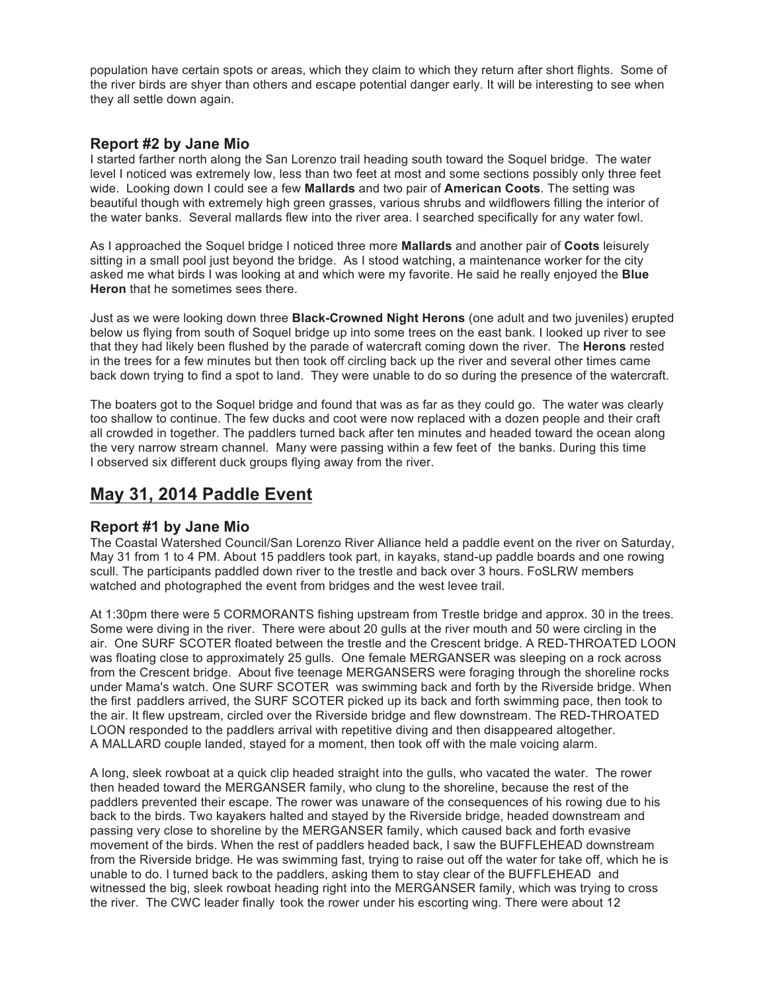population have certain spots or areas, which they claim to which they return after short flights. Some of the river birds are shyer than others and escape potential danger early. It will be interesting to see when they all settle down again.

## **Report #2 by Jane Mio**

I started farther north along the San Lorenzo trail heading south toward the Soquel bridge. The water level I noticed was extremely low, less than two feet at most and some sections possibly only three feet wide. Looking down I could see a few **Mallards** and two pair of **American Coots**. The setting was beautiful though with extremely high green grasses, various shrubs and wildflowers filling the interior of the water banks. Several mallards flew into the river area. I searched specifically for any water fowl.

As I approached the Soquel bridge I noticed three more **Mallards** and another pair of **Coots** leisurely sitting in a small pool just beyond the bridge. As I stood watching, a maintenance worker for the city asked me what birds I was looking at and which were my favorite. He said he really enjoyed the **Blue Heron** that he sometimes sees there.

Just as we were looking down three **Black-Crowned Night Herons** (one adult and two juveniles) erupted below us flying from south of Soquel bridge up into some trees on the east bank. I looked up river to see that they had likely been flushed by the parade of watercraft coming down the river. The **Herons** rested in the trees for a few minutes but then took off circling back up the river and several other times came back down trying to find a spot to land. They were unable to do so during the presence of the watercraft.

The boaters got to the Soquel bridge and found that was as far as they could go. The water was clearly too shallow to continue. The few ducks and coot were now replaced with a dozen people and their craft all crowded in together. The paddlers turned back after ten minutes and headed toward the ocean along the very narrow stream channel. Many were passing within a few feet of the banks. During this time I observed six different duck groups flying away from the river.

# **May 31, 2014 Paddle Event**

# **Report #1 by Jane Mio**

The Coastal Watershed Council/San Lorenzo River Alliance held a paddle event on the river on Saturday, May 31 from 1 to 4 PM. About 15 paddlers took part, in kayaks, stand-up paddle boards and one rowing scull. The participants paddled down river to the trestle and back over 3 hours. FoSLRW members watched and photographed the event from bridges and the west levee trail.

At 1:30pm there were 5 CORMORANTS fishing upstream from Trestle bridge and approx. 30 in the trees. Some were diving in the river. There were about 20 gulls at the river mouth and 50 were circling in the air. One SURF SCOTER floated between the trestle and the Crescent bridge. A RED-THROATED LOON was floating close to approximately 25 gulls. One female MERGANSER was sleeping on a rock across from the Crescent bridge. About five teenage MERGANSERS were foraging through the shoreline rocks under Mama's watch. One SURF SCOTER was swimming back and forth by the Riverside bridge. When the first paddlers arrived, the SURF SCOTER picked up its back and forth swimming pace, then took to the air. It flew upstream, circled over the Riverside bridge and flew downstream. The RED-THROATED LOON responded to the paddlers arrival with repetitive diving and then disappeared altogether. A MALLARD couple landed, stayed for a moment, then took off with the male voicing alarm.

A long, sleek rowboat at a quick clip headed straight into the gulls, who vacated the water. The rower then headed toward the MERGANSER family, who clung to the shoreline, because the rest of the paddlers prevented their escape. The rower was unaware of the consequences of his rowing due to his back to the birds. Two kayakers halted and stayed by the Riverside bridge, headed downstream and passing very close to shoreline by the MERGANSER family, which caused back and forth evasive movement of the birds. When the rest of paddlers headed back, I saw the BUFFLEHEAD downstream from the Riverside bridge. He was swimming fast, trying to raise out off the water for take off, which he is unable to do. I turned back to the paddlers, asking them to stay clear of the BUFFLEHEAD and witnessed the big, sleek rowboat heading right into the MERGANSER family, which was trying to cross the river. The CWC leader finally took the rower under his escorting wing. There were about 12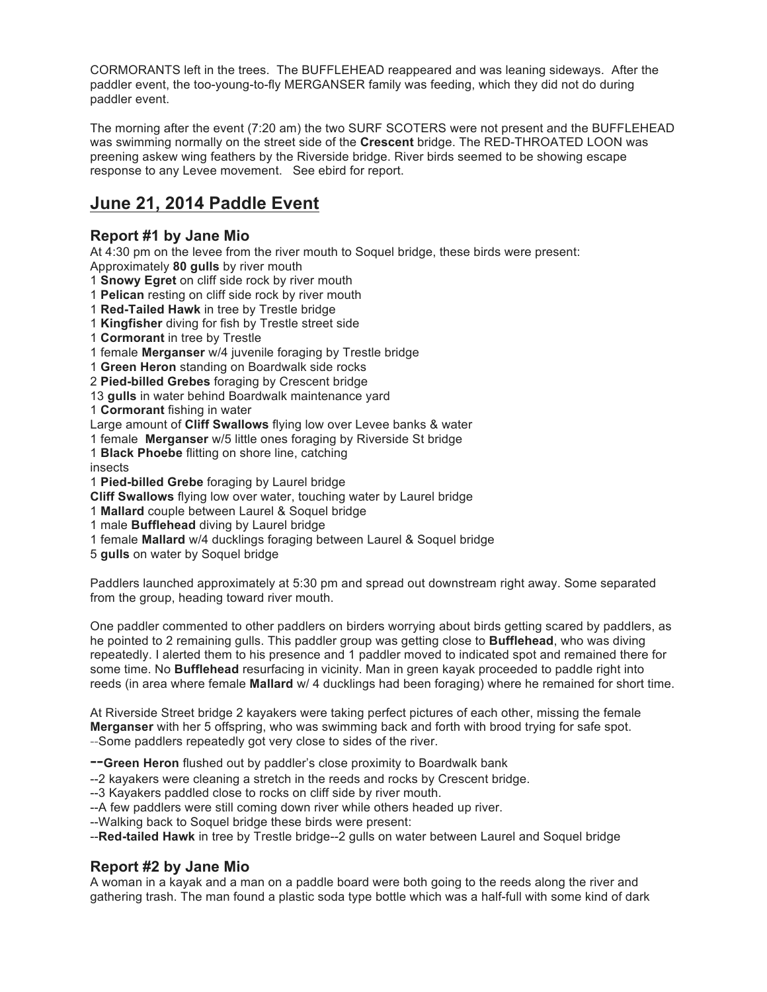CORMORANTS left in the trees. The BUFFLEHEAD reappeared and was leaning sideways. After the paddler event, the too-young-to-fly MERGANSER family was feeding, which they did not do during paddler event.

The morning after the event (7:20 am) the two SURF SCOTERS were not present and the BUFFLEHEAD was swimming normally on the street side of the **Crescent** bridge. The RED-THROATED LOON was preening askew wing feathers by the Riverside bridge. River birds seemed to be showing escape response to any Levee movement. See ebird for report.

# **June 21, 2014 Paddle Event**

# **Report #1 by Jane Mio**

At 4:30 pm on the levee from the river mouth to Soquel bridge, these birds were present: Approximately **80 gulls** by river mouth

- 1 **Snowy Egret** on cliff side rock by river mouth
- 1 **Pelican** resting on cliff side rock by river mouth
- 1 **Red-Tailed Hawk** in tree by Trestle bridge
- 1 **Kingfisher** diving for fish by Trestle street side
- 1 **Cormorant** in tree by Trestle
- 1 female **Merganser** w/4 juvenile foraging by Trestle bridge
- 1 **Green Heron** standing on Boardwalk side rocks
- 2 **Pied-billed Grebes** foraging by Crescent bridge
- 13 **gulls** in water behind Boardwalk maintenance yard
- 1 **Cormorant** fishing in water
- Large amount of **Cliff Swallows** flying low over Levee banks & water
- 1 female **Merganser** w/5 little ones foraging by Riverside St bridge
- 1 **Black Phoebe** flitting on shore line, catching
- insects
- 1 **Pied-billed Grebe** foraging by Laurel bridge
- **Cliff Swallows** flying low over water, touching water by Laurel bridge
- 1 **Mallard** couple between Laurel & Soquel bridge
- 1 male **Bufflehead** diving by Laurel bridge
- 1 female **Mallard** w/4 ducklings foraging between Laurel & Soquel bridge
- 5 **gulls** on water by Soquel bridge

Paddlers launched approximately at 5:30 pm and spread out downstream right away. Some separated from the group, heading toward river mouth.

One paddler commented to other paddlers on birders worrying about birds getting scared by paddlers, as he pointed to 2 remaining gulls. This paddler group was getting close to **Bufflehead**, who was diving repeatedly. I alerted them to his presence and 1 paddler moved to indicated spot and remained there for some time. No **Bufflehead** resurfacing in vicinity. Man in green kayak proceeded to paddle right into reeds (in area where female **Mallard** w/ 4 ducklings had been foraging) where he remained for short time.

At Riverside Street bridge 2 kayakers were taking perfect pictures of each other, missing the female **Merganser** with her 5 offspring, who was swimming back and forth with brood trying for safe spot. --Some paddlers repeatedly got very close to sides of the river.

--**Green Heron** flushed out by paddler's close proximity to Boardwalk bank

- --2 kayakers were cleaning a stretch in the reeds and rocks by Crescent bridge.
- --3 Kayakers paddled close to rocks on cliff side by river mouth.

--A few paddlers were still coming down river while others headed up river.

--Walking back to Soquel bridge these birds were present:

--**Red-tailed Hawk** in tree by Trestle bridge--2 gulls on water between Laurel and Soquel bridge

# **Report #2 by Jane Mio**

A woman in a kayak and a man on a paddle board were both going to the reeds along the river and gathering trash. The man found a plastic soda type bottle which was a half-full with some kind of dark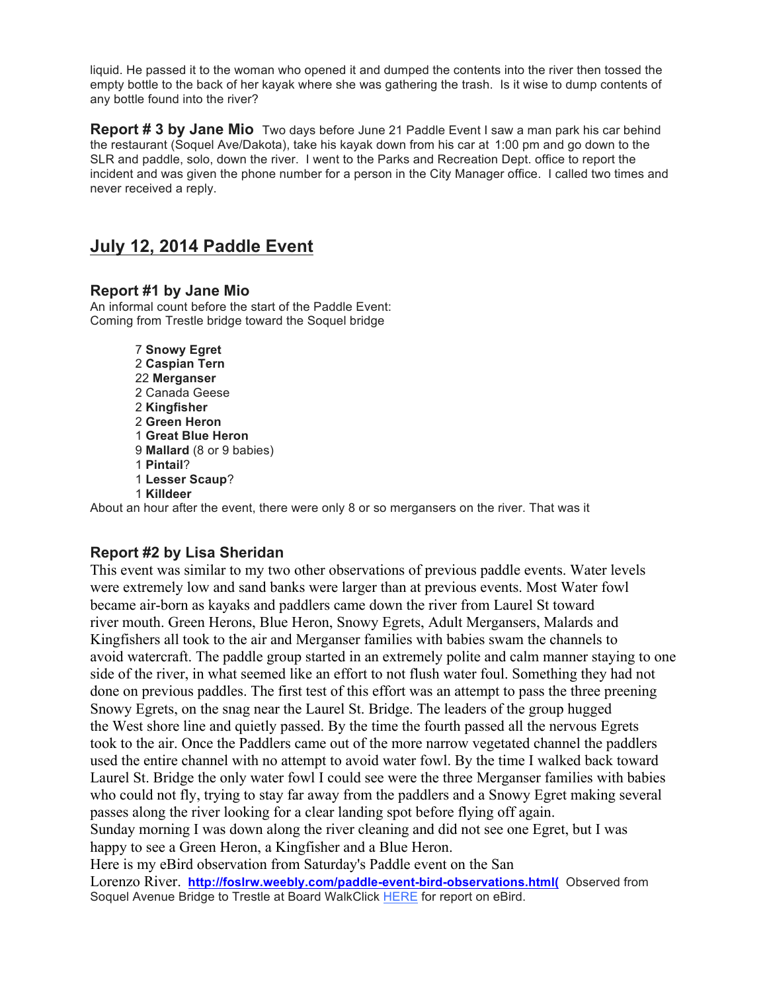liquid. He passed it to the woman who opened it and dumped the contents into the river then tossed the empty bottle to the back of her kayak where she was gathering the trash. Is it wise to dump contents of any bottle found into the river?

**Report # 3 by Jane Mio** Two days before June 21 Paddle Event I saw a man park his car behind the restaurant (Soquel Ave/Dakota), take his kayak down from his car at 1:00 pm and go down to the SLR and paddle, solo, down the river. I went to the Parks and Recreation Dept. office to report the incident and was given the phone number for a person in the City Manager office. I called two times and never received a reply.

# **July 12, 2014 Paddle Event**

# **Report #1 by Jane Mio**

An informal count before the start of the Paddle Event: Coming from Trestle bridge toward the Soquel bridge

> **Snowy Egret Caspian Tern Merganser** 2 Canada Geese **Kingfisher Green Heron Great Blue Heron Mallard** (8 or 9 babies) 1 **Pintail**? **Lesser Scaup**? 1 **Killdeer**

About an hour after the event, there were only 8 or so mergansers on the river. That was it

# **Report #2 by Lisa Sheridan**

This event was similar to my two other observations of previous paddle events. Water levels were extremely low and sand banks were larger than at previous events. Most Water fowl became air-born as kayaks and paddlers came down the river from Laurel St toward river mouth. Green Herons, Blue Heron, Snowy Egrets, Adult Mergansers, Malards and Kingfishers all took to the air and Merganser families with babies swam the channels to avoid watercraft. The paddle group started in an extremely polite and calm manner staying to one side of the river, in what seemed like an effort to not flush water foul. Something they had not done on previous paddles. The first test of this effort was an attempt to pass the three preening Snowy Egrets, on the snag near the Laurel St. Bridge. The leaders of the group hugged the West shore line and quietly passed. By the time the fourth passed all the nervous Egrets took to the air. Once the Paddlers came out of the more narrow vegetated channel the paddlers used the entire channel with no attempt to avoid water fowl. By the time I walked back toward Laurel St. Bridge the only water fowl I could see were the three Merganser families with babies who could not fly, trying to stay far away from the paddlers and a Snowy Egret making several passes along the river looking for a clear landing spot before flying off again. Sunday morning I was down along the river cleaning and did not see one Egret, but I was happy to see a Green Heron, a Kingfisher and a Blue Heron. Here is my eBird observation from Saturday's Paddle event on the San

Lorenzo River. **http://foslrw.weebly.com/paddle-event-bird-observations.html(** Observed from Soquel Avenue Bridge to Trestle at Board WalkClick HERE for report on eBird.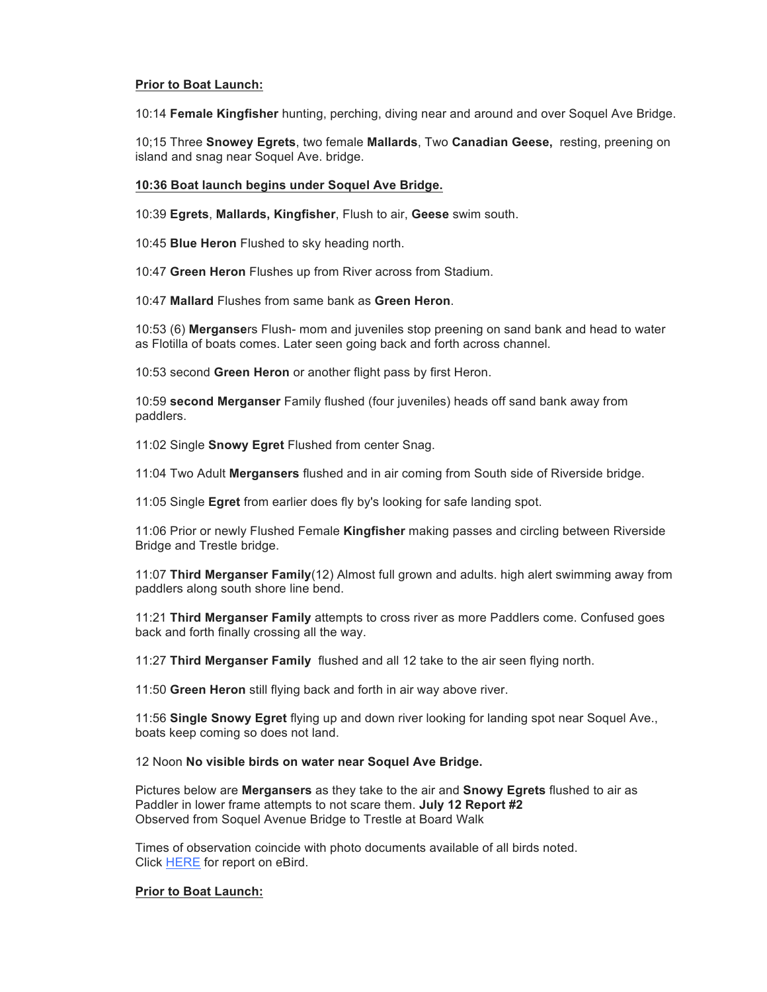#### **Prior to Boat Launch:**

10:14 **Female Kingfisher** hunting, perching, diving near and around and over Soquel Ave Bridge.

10;15 Three **Snowey Egrets**, two female **Mallards**, Two **Canadian Geese,** resting, preening on island and snag near Soquel Ave. bridge.

#### **10:36 Boat launch begins under Soquel Ave Bridge.**

10:39 **Egrets**, **Mallards, Kingfisher**, Flush to air, **Geese** swim south.

10:45 **Blue Heron** Flushed to sky heading north.

10:47 **Green Heron** Flushes up from River across from Stadium.

10:47 **Mallard** Flushes from same bank as **Green Heron**.

10:53 (6) **Merganse**rs Flush- mom and juveniles stop preening on sand bank and head to water as Flotilla of boats comes. Later seen going back and forth across channel.

10:53 second **Green Heron** or another flight pass by first Heron.

10:59 **second Merganser** Family flushed (four juveniles) heads off sand bank away from paddlers.

11:02 Single **Snowy Egret** Flushed from center Snag.

11:04 Two Adult **Mergansers** flushed and in air coming from South side of Riverside bridge.

11:05 Single **Egret** from earlier does fly by's looking for safe landing spot.

11:06 Prior or newly Flushed Female **Kingfisher** making passes and circling between Riverside Bridge and Trestle bridge.

11:07 **Third Merganser Family**(12) Almost full grown and adults. high alert swimming away from paddlers along south shore line bend.

11:21 **Third Merganser Family** attempts to cross river as more Paddlers come. Confused goes back and forth finally crossing all the way.

11:27 **Third Merganser Family** flushed and all 12 take to the air seen flying north.

11:50 **Green Heron** still flying back and forth in air way above river.

11:56 **Single Snowy Egret** flying up and down river looking for landing spot near Soquel Ave., boats keep coming so does not land.

#### 12 Noon **No visible birds on water near Soquel Ave Bridge.**

Pictures below are **Mergansers** as they take to the air and **Snowy Egrets** flushed to air as Paddler in lower frame attempts to not scare them. **July 12 Report #2** Observed from Soquel Avenue Bridge to Trestle at Board Walk

Times of observation coincide with photo documents available of all birds noted. Click HERE for report on eBird.

#### **Prior to Boat Launch:**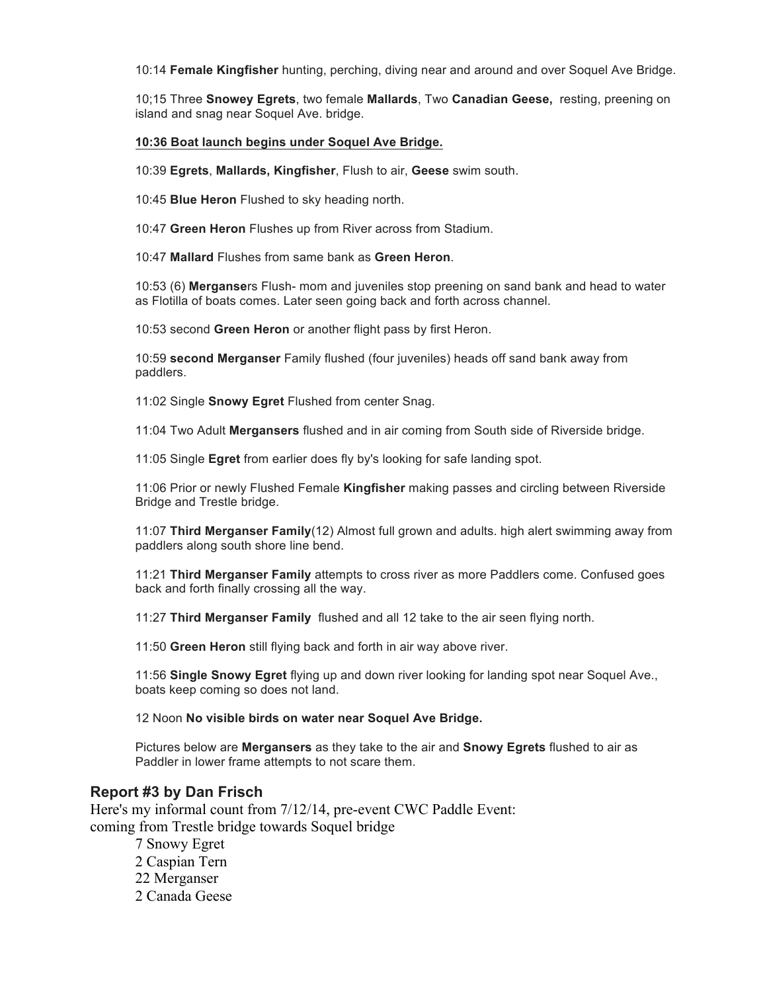10:14 **Female Kingfisher** hunting, perching, diving near and around and over Soquel Ave Bridge.

10;15 Three **Snowey Egrets**, two female **Mallards**, Two **Canadian Geese,** resting, preening on island and snag near Soquel Ave. bridge.

#### **10:36 Boat launch begins under Soquel Ave Bridge.**

10:39 **Egrets**, **Mallards, Kingfisher**, Flush to air, **Geese** swim south.

10:45 **Blue Heron** Flushed to sky heading north.

10:47 **Green Heron** Flushes up from River across from Stadium.

10:47 **Mallard** Flushes from same bank as **Green Heron**.

10:53 (6) **Merganse**rs Flush- mom and juveniles stop preening on sand bank and head to water as Flotilla of boats comes. Later seen going back and forth across channel.

10:53 second **Green Heron** or another flight pass by first Heron.

10:59 **second Merganser** Family flushed (four juveniles) heads off sand bank away from paddlers.

11:02 Single **Snowy Egret** Flushed from center Snag.

11:04 Two Adult **Mergansers** flushed and in air coming from South side of Riverside bridge.

11:05 Single **Egret** from earlier does fly by's looking for safe landing spot.

11:06 Prior or newly Flushed Female **Kingfisher** making passes and circling between Riverside Bridge and Trestle bridge.

11:07 **Third Merganser Family**(12) Almost full grown and adults. high alert swimming away from paddlers along south shore line bend.

11:21 **Third Merganser Family** attempts to cross river as more Paddlers come. Confused goes back and forth finally crossing all the way.

11:27 **Third Merganser Family** flushed and all 12 take to the air seen flying north.

11:50 **Green Heron** still flying back and forth in air way above river.

11:56 **Single Snowy Egret** flying up and down river looking for landing spot near Soquel Ave., boats keep coming so does not land.

12 Noon **No visible birds on water near Soquel Ave Bridge.**

Pictures below are **Mergansers** as they take to the air and **Snowy Egrets** flushed to air as Paddler in lower frame attempts to not scare them.

### **Report #3 by Dan Frisch**

Here's my informal count from 7/12/14, pre-event CWC Paddle Event: coming from Trestle bridge towards Soquel bridge

> 7 Snowy Egret 2 Caspian Tern 22 Merganser 2 Canada Geese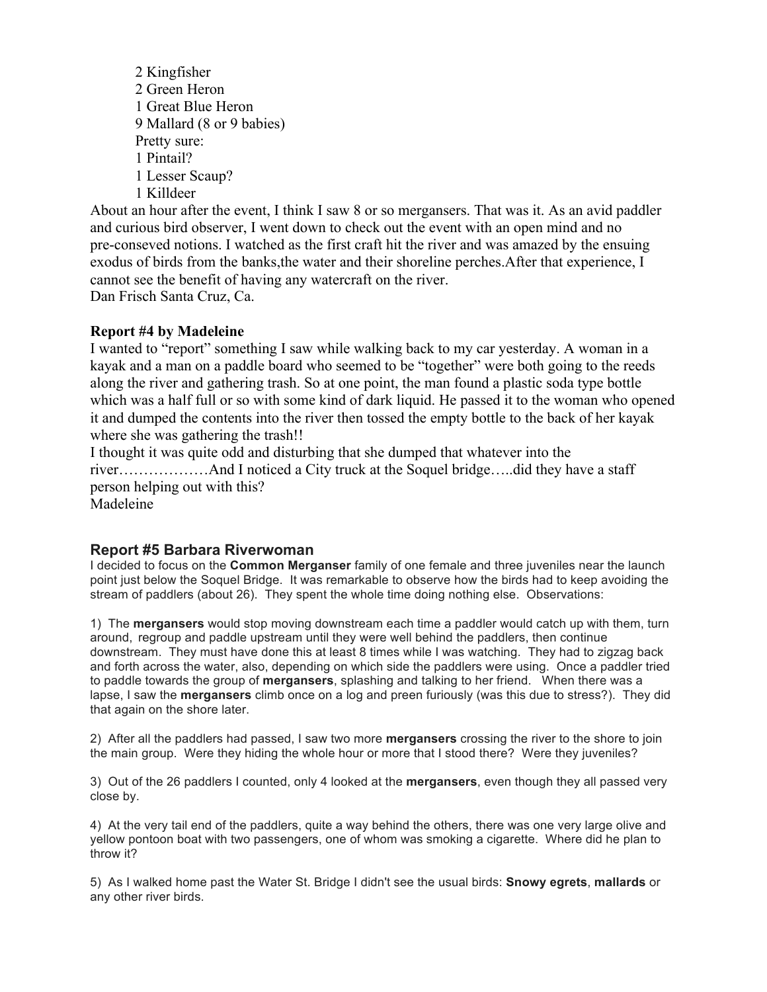2 Kingfisher 2 Green Heron 1 Great Blue Heron 9 Mallard (8 or 9 babies) Pretty sure: 1 Pintail? 1 Lesser Scaup? 1 Killdeer

About an hour after the event, I think I saw 8 or so mergansers. That was it. As an avid paddler and curious bird observer, I went down to check out the event with an open mind and no pre-conseved notions. I watched as the first craft hit the river and was amazed by the ensuing exodus of birds from the banks,the water and their shoreline perches.After that experience, I cannot see the benefit of having any watercraft on the river. Dan Frisch Santa Cruz, Ca.

### **Report #4 by Madeleine**

I wanted to "report" something I saw while walking back to my car yesterday. A woman in a kayak and a man on a paddle board who seemed to be "together" were both going to the reeds along the river and gathering trash. So at one point, the man found a plastic soda type bottle which was a half full or so with some kind of dark liquid. He passed it to the woman who opened it and dumped the contents into the river then tossed the empty bottle to the back of her kayak where she was gathering the trash!!

I thought it was quite odd and disturbing that she dumped that whatever into the river………………And I noticed a City truck at the Soquel bridge…..did they have a staff person helping out with this?

Madeleine

# **Report #5 Barbara Riverwoman**

I decided to focus on the **Common Merganser** family of one female and three juveniles near the launch point just below the Soquel Bridge. It was remarkable to observe how the birds had to keep avoiding the stream of paddlers (about 26). They spent the whole time doing nothing else. Observations:

1) The **mergansers** would stop moving downstream each time a paddler would catch up with them, turn around, regroup and paddle upstream until they were well behind the paddlers, then continue downstream. They must have done this at least 8 times while I was watching. They had to zigzag back and forth across the water, also, depending on which side the paddlers were using. Once a paddler tried to paddle towards the group of **mergansers**, splashing and talking to her friend. When there was a lapse, I saw the **mergansers** climb once on a log and preen furiously (was this due to stress?). They did that again on the shore later.

2) After all the paddlers had passed, I saw two more **mergansers** crossing the river to the shore to join the main group. Were they hiding the whole hour or more that I stood there? Were they juveniles?

3) Out of the 26 paddlers I counted, only 4 looked at the **mergansers**, even though they all passed very close by.

4) At the very tail end of the paddlers, quite a way behind the others, there was one very large olive and yellow pontoon boat with two passengers, one of whom was smoking a cigarette. Where did he plan to throw it?

5) As I walked home past the Water St. Bridge I didn't see the usual birds: **Snowy egrets**, **mallards** or any other river birds.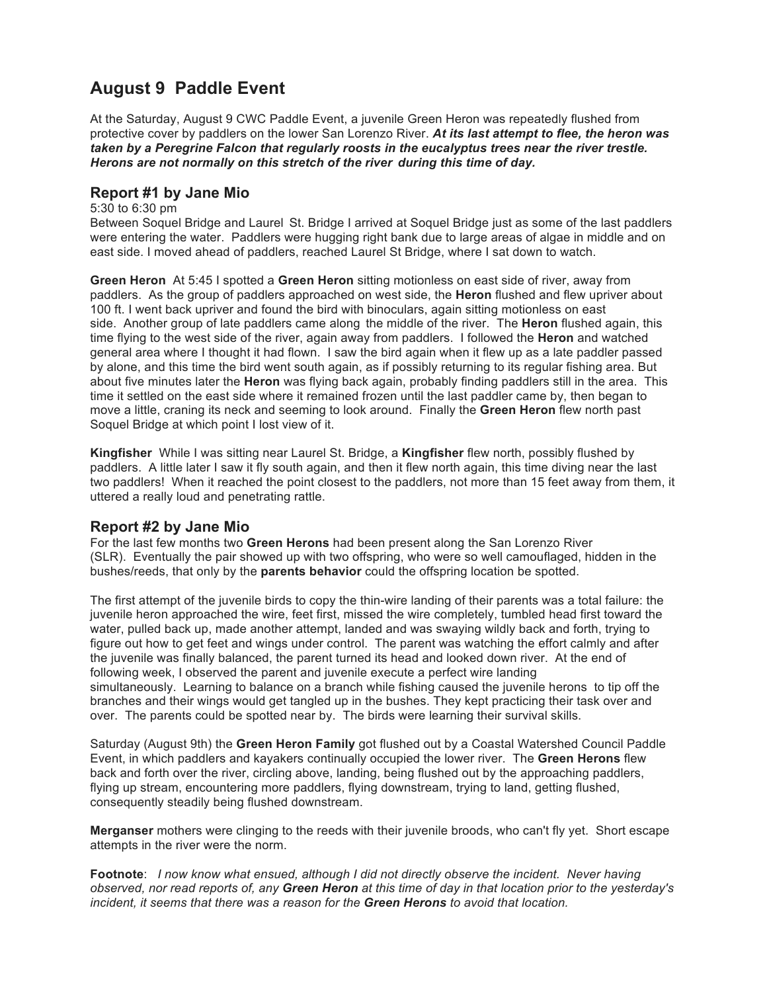# **August 9 Paddle Event**

At the Saturday, August 9 CWC Paddle Event, a juvenile Green Heron was repeatedly flushed from protective cover by paddlers on the lower San Lorenzo River. *At its last attempt to flee, the heron was taken by a Peregrine Falcon that regularly roosts in the eucalyptus trees near the river trestle. Herons are not normally on this stretch of the river during this time of day.*

## **Report #1 by Jane Mio**

#### 5:30 to 6:30 pm

Between Soquel Bridge and Laurel St. Bridge I arrived at Soquel Bridge just as some of the last paddlers were entering the water. Paddlers were hugging right bank due to large areas of algae in middle and on east side. I moved ahead of paddlers, reached Laurel St Bridge, where I sat down to watch.

**Green Heron** At 5:45 I spotted a **Green Heron** sitting motionless on east side of river, away from paddlers. As the group of paddlers approached on west side, the **Heron** flushed and flew upriver about 100 ft. I went back upriver and found the bird with binoculars, again sitting motionless on east side. Another group of late paddlers came along the middle of the river. The **Heron** flushed again, this time flying to the west side of the river, again away from paddlers. I followed the **Heron** and watched general area where I thought it had flown. I saw the bird again when it flew up as a late paddler passed by alone, and this time the bird went south again, as if possibly returning to its regular fishing area. But about five minutes later the **Heron** was flying back again, probably finding paddlers still in the area. This time it settled on the east side where it remained frozen until the last paddler came by, then began to move a little, craning its neck and seeming to look around. Finally the **Green Heron** flew north past Soquel Bridge at which point I lost view of it.

**Kingfisher** While I was sitting near Laurel St. Bridge, a **Kingfisher** flew north, possibly flushed by paddlers. A little later I saw it fly south again, and then it flew north again, this time diving near the last two paddlers! When it reached the point closest to the paddlers, not more than 15 feet away from them, it uttered a really loud and penetrating rattle.

### **Report #2 by Jane Mio**

For the last few months two **Green Herons** had been present along the San Lorenzo River (SLR). Eventually the pair showed up with two offspring, who were so well camouflaged, hidden in the bushes/reeds, that only by the **parents behavior** could the offspring location be spotted.

The first attempt of the juvenile birds to copy the thin-wire landing of their parents was a total failure: the juvenile heron approached the wire, feet first, missed the wire completely, tumbled head first toward the water, pulled back up, made another attempt, landed and was swaying wildly back and forth, trying to figure out how to get feet and wings under control. The parent was watching the effort calmly and after the juvenile was finally balanced, the parent turned its head and looked down river. At the end of following week, I observed the parent and juvenile execute a perfect wire landing simultaneously. Learning to balance on a branch while fishing caused the juvenile herons to tip off the branches and their wings would get tangled up in the bushes. They kept practicing their task over and over. The parents could be spotted near by. The birds were learning their survival skills.

Saturday (August 9th) the **Green Heron Family** got flushed out by a Coastal Watershed Council Paddle Event, in which paddlers and kayakers continually occupied the lower river. The **Green Herons** flew back and forth over the river, circling above, landing, being flushed out by the approaching paddlers, flying up stream, encountering more paddlers, flying downstream, trying to land, getting flushed, consequently steadily being flushed downstream.

**Merganser** mothers were clinging to the reeds with their juvenile broods, who can't fly yet. Short escape attempts in the river were the norm.

**Footnote**: *I now know what ensued, although I did not directly observe the incident. Never having observed, nor read reports of, any Green Heron at this time of day in that location prior to the yesterday's incident, it seems that there was a reason for the Green Herons to avoid that location.*